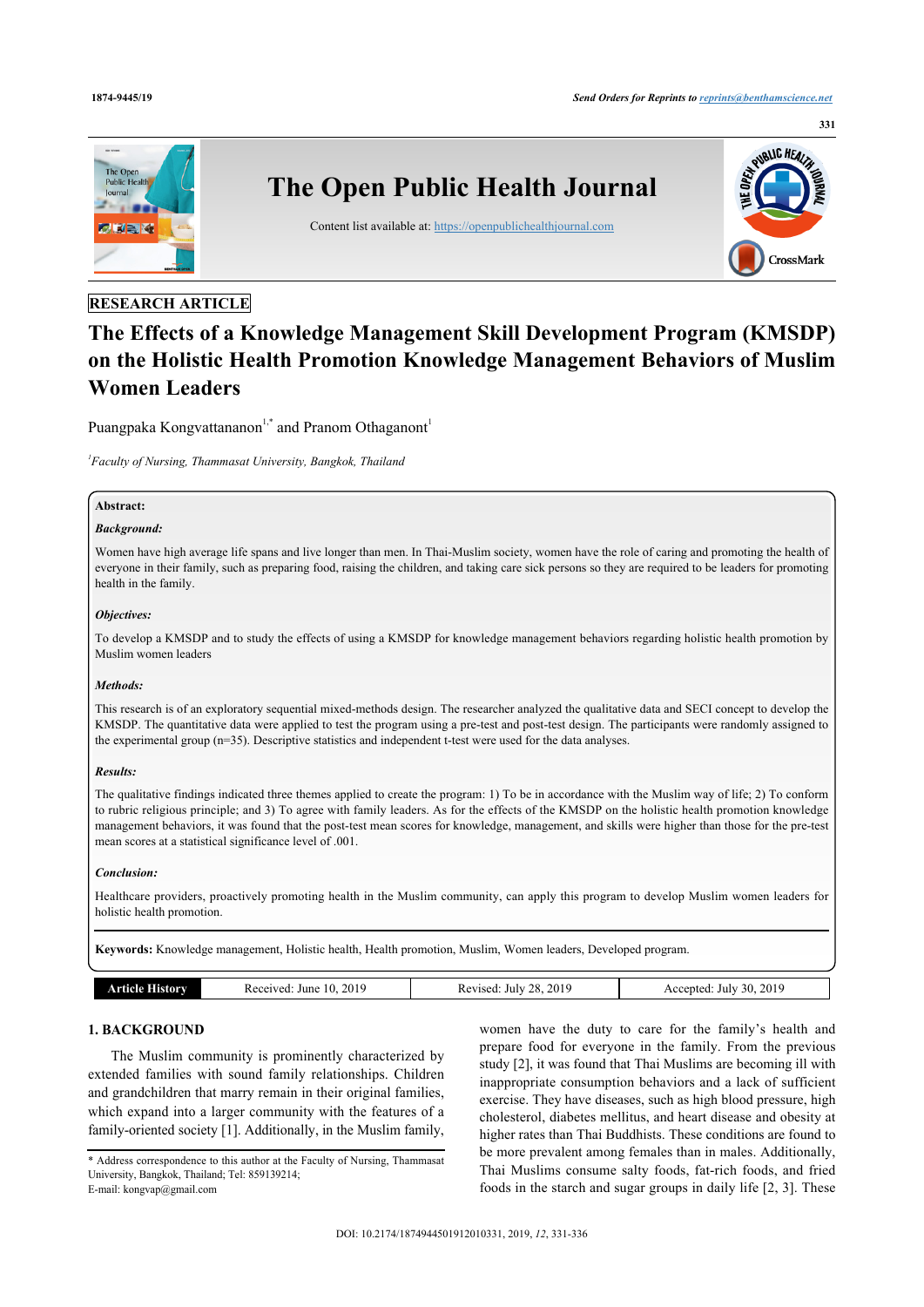

# **RESEARCH ARTICLE**

# **The Effects of a Knowledge Management Skill Development Program (KMSDP) on the Holistic Health Promotion Knowledge Management Behaviors of Muslim Women Leaders**

Puangpaka Kongvattananon $1,^*$  $1,^*$  and Pranom Othaganont $^1$ 

<span id="page-0-0"></span>*1 Faculty of Nursing, Thammasat University, Bangkok, Thailand*

# **Abstract:**

#### *Background:*

Women have high average life spans and live longer than men. In Thai-Muslim society, women have the role of caring and promoting the health of everyone in their family, such as preparing food, raising the children, and taking care sick persons so they are required to be leaders for promoting health in the family.

#### *Objectives:*

To develop a KMSDP and to study the effects of using a KMSDP for knowledge management behaviors regarding holistic health promotion by Muslim women leaders

#### *Methods:*

This research is of an exploratory sequential mixed-methods design. The researcher analyzed the qualitative data and SECI concept to develop the KMSDP. The quantitative data were applied to test the program using a pre-test and post-test design. The participants were randomly assigned to the experimental group (n=35). Descriptive statistics and independent t-test were used for the data analyses.

#### *Results:*

The qualitative findings indicated three themes applied to create the program: 1) To be in accordance with the Muslim way of life; 2) To conform to rubric religious principle; and 3) To agree with family leaders. As for the effects of the KMSDP on the holistic health promotion knowledge management behaviors, it was found that the post-test mean scores for knowledge, management, and skills were higher than those for the pre-test mean scores at a statistical significance level of .001.

#### *Conclusion:*

Healthcare providers, proactively promoting health in the Muslim community, can apply this program to develop Muslim women leaders for holistic health promotion.

**Keywords:** Knowledge management, Holistic health, Health promotion, Muslim, Women leaders, Developed program.

| 2019<br>. 201 $^{\circ}$<br>$\sim$<br>no<br>201<br>June<br>hılv<br>ccented<br>110P<br>mw<br>July<br>30<br>ve<br>AL.<br>$\sim$<br>.<br>.<br>. .<br>__ |  |
|------------------------------------------------------------------------------------------------------------------------------------------------------|--|
|------------------------------------------------------------------------------------------------------------------------------------------------------|--|

# **1. BACKGROUND**

The Muslim community is prominently characterized by extended families with sound family relationships. Children and grandchildren that marry remain in their original families, which expand into a larger community with the features of a family-oriented society [[1](#page-5-0)]. Additionally, in the Muslim family,

women have the duty to care for the family's health and prepare food for everyone in the family. From the previous study [[2](#page-5-1)], it was found that Thai Muslims are becoming ill with inappropriate consumption behaviors and a lack of sufficient exercise. They have diseases, such as high blood pressure, high cholesterol, diabetes mellitus, and heart disease and obesity at higher rates than Thai Buddhists. These conditions are found to be more prevalent among females than in males. Additionally, Thai Muslims consume salty foods, fat-rich foods, and fried foods in the starch and sugar groups in daily life [[2](#page-5-1), [3\]](#page-5-2). These

<span id="page-0-1"></span><sup>\*</sup> Address correspondence to this author at the Faculty of Nursing, Thammasat University, Bangkok, Thailand; Tel: 859139214; E-mail: [kongvap@gmail.com](mailto:kongvap@gmail.com)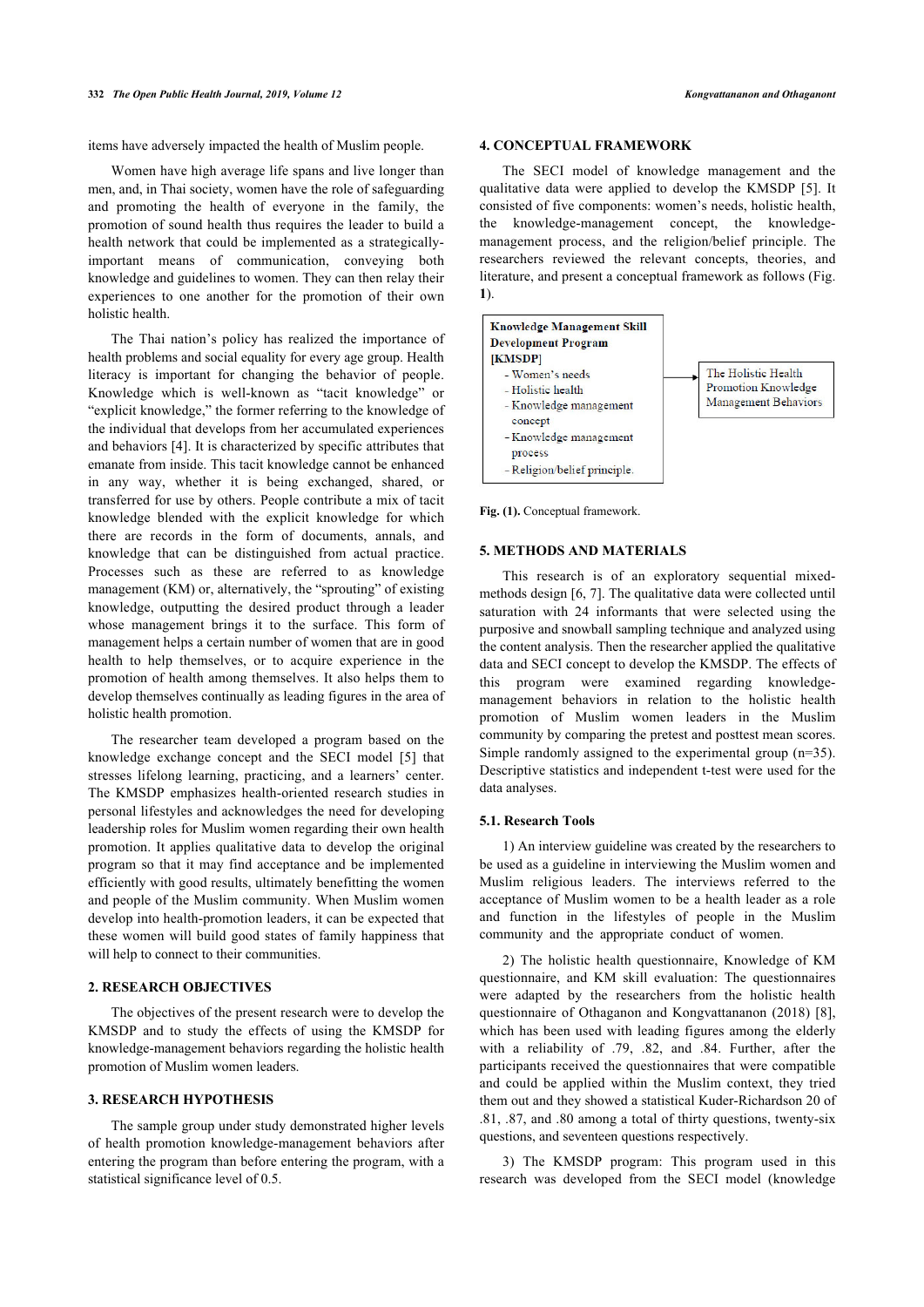items have adversely impacted the health of Muslim people.

Women have high average life spans and live longer than men, and, in Thai society, women have the role of safeguarding and promoting the health of everyone in the family, the promotion of sound health thus requires the leader to build a health network that could be implemented as a strategicallyimportant means of communication, conveying both knowledge and guidelines to women. They can then relay their experiences to one another for the promotion of their own holistic health.

<span id="page-1-0"></span>The Thai nation's policy has realized the importance of health problems and social equality for every age group. Health literacy is important for changing the behavior of people. Knowledge which is well-known as "tacit knowledge" or "explicit knowledge," the former referring to the knowledge of the individual that develops from her accumulated experiences and behaviors [\[4\]](#page-5-3). It is characterized by specific attributes that emanate from inside. This tacit knowledge cannot be enhanced in any way, whether it is being exchanged, shared, or transferred for use by others. People contribute a mix of tacit knowledge blended with the explicit knowledge for which there are records in the form of documents, annals, and knowledge that can be distinguished from actual practice. Processes such as these are referred to as knowledge management (KM) or, alternatively, the "sprouting" of existing knowledge, outputting the desired product through a leader whose management brings it to the surface. This form of management helps a certain number of women that are in good health to help themselves, or to acquire experience in the promotion of health among themselves. It also helps them to develop themselves continually as leading figures in the area of holistic health promotion.

The researcher team developed a program based on the knowledge exchange concept and the SECI model[[5](#page-5-4)] that stresses lifelong learning, practicing, and a learners' center. The KMSDP emphasizes health-oriented research studies in personal lifestyles and acknowledges the need for developing leadership roles for Muslim women regarding their own health promotion. It applies qualitative data to develop the original program so that it may find acceptance and be implemented efficiently with good results, ultimately benefitting the women and people of the Muslim community. When Muslim women develop into health-promotion leaders, it can be expected that these women will build good states of family happiness that will help to connect to their communities.

### **2. RESEARCH OBJECTIVES**

The objectives of the present research were to develop the KMSDP and to study the effects of using the KMSDP for knowledge-management behaviors regarding the holistic health promotion of Muslim women leaders.

# **3. RESEARCH HYPOTHESIS**

The sample group under study demonstrated higher levels of health promotion knowledge-management behaviors after entering the program than before entering the program, with a statistical significance level of 0.5.

# **4. CONCEPTUAL FRAMEWORK**

The SECI model of knowledge management and the qualitative data were applied to develop the KMSDP [\[5\]](#page-5-4). It consisted of five components: women's needs, holistic health, the knowledge-management concept, the knowledgemanagement process, and the religion/belief principle. The researchers reviewed the relevant concepts, theories, and literature, and present a conceptual framework as follows (Fig. **[1](#page-1-0)**).



Fig. (1). Conceptual framework.

# **5. METHODS AND MATERIALS**

This research is of an exploratory sequential mixedmethods design [\[6,](#page-5-5) [7\]](#page-5-6). The qualitative data were collected until saturation with 24 informants that were selected using the purposive and snowball sampling technique and analyzed using the content analysis. Then the researcher applied the qualitative data and SECI concept to develop the KMSDP. The effects of this program were examined regarding knowledgemanagement behaviors in relation to the holistic health promotion of Muslim women leaders in the Muslim community by comparing the pretest and posttest mean scores. Simple randomly assigned to the experimental group (n=35). Descriptive statistics and independent t-test were used for the data analyses.

#### **5.1. Research Tools**

1) An interview guideline was created by the researchers to be used as a guideline in interviewing the Muslim women and Muslim religious leaders. The interviews referred to the acceptance of Muslim women to be a health leader as a role and function in the lifestyles of people in the Muslim community and the appropriate conduct of women.

2) The holistic health questionnaire, Knowledge of KM questionnaire, and KM skill evaluation: The questionnaires were adapted by the researchers from the holistic health questionnaire of Othaganon and Kongvattananon (2018) [[8](#page-5-7)], which has been used with leading figures among the elderly with a reliability of .79, .82, and .84. Further, after the participants received the questionnaires that were compatible and could be applied within the Muslim context, they tried them out and they showed a statistical Kuder-Richardson 20 of .81, .87, and .80 among a total of thirty questions, twenty-six questions, and seventeen questions respectively.

3) The KMSDP program: This program used in this research was developed from the SECI model (knowledge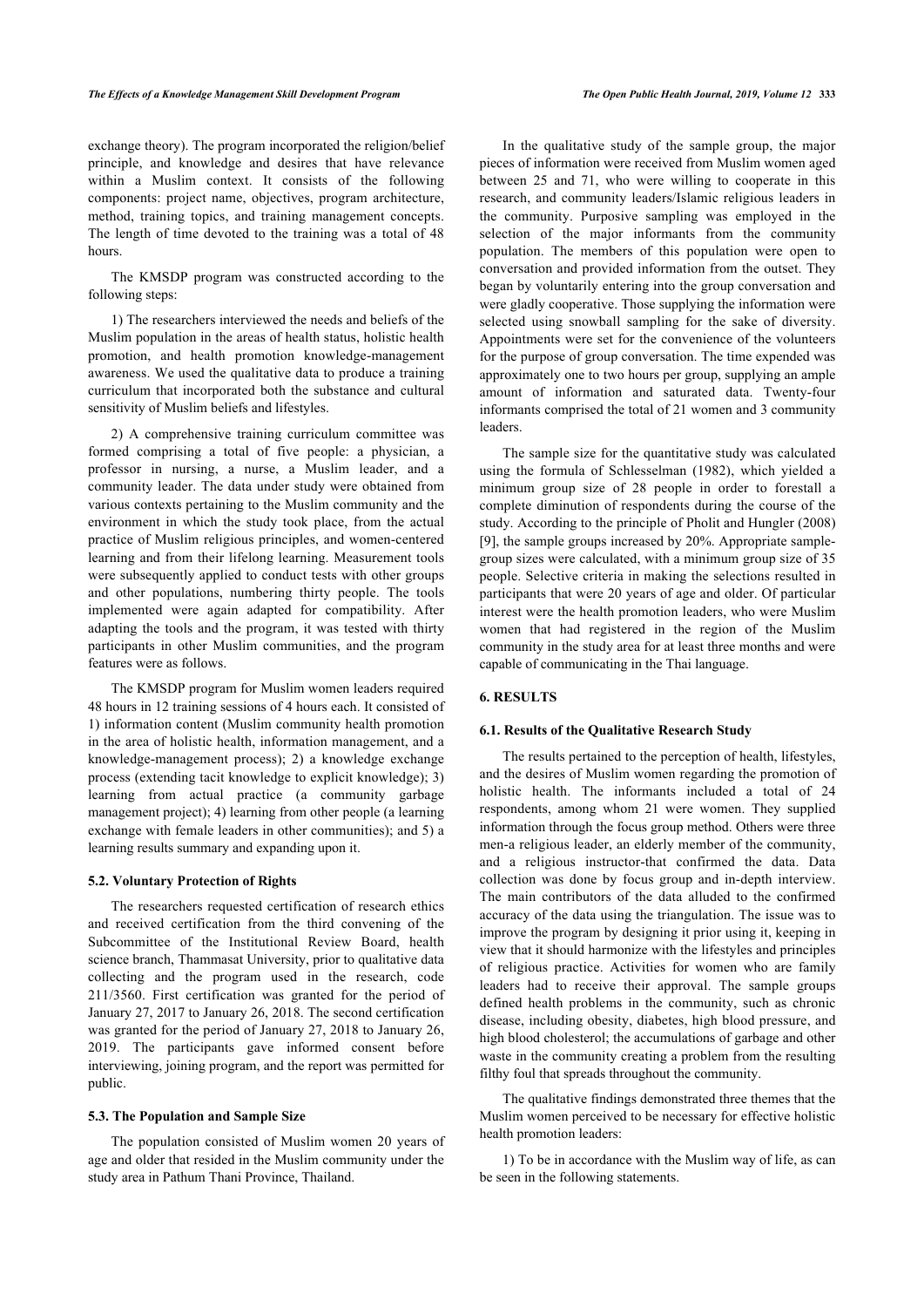exchange theory). The program incorporated the religion/belief principle, and knowledge and desires that have relevance within a Muslim context. It consists of the following components: project name, objectives, program architecture, method, training topics, and training management concepts. The length of time devoted to the training was a total of 48 hours.

The KMSDP program was constructed according to the following steps:

1) The researchers interviewed the needs and beliefs of the Muslim population in the areas of health status, holistic health promotion, and health promotion knowledge-management awareness. We used the qualitative data to produce a training curriculum that incorporated both the substance and cultural sensitivity of Muslim beliefs and lifestyles.

2) A comprehensive training curriculum committee was formed comprising a total of five people: a physician, a professor in nursing, a nurse, a Muslim leader, and a community leader. The data under study were obtained from various contexts pertaining to the Muslim community and the environment in which the study took place, from the actual practice of Muslim religious principles, and women-centered learning and from their lifelong learning. Measurement tools were subsequently applied to conduct tests with other groups and other populations, numbering thirty people. The tools implemented were again adapted for compatibility. After adapting the tools and the program, it was tested with thirty participants in other Muslim communities, and the program features were as follows.

The KMSDP program for Muslim women leaders required 48 hours in 12 training sessions of 4 hours each. It consisted of 1) information content (Muslim community health promotion in the area of holistic health, information management, and a knowledge-management process); 2) a knowledge exchange process (extending tacit knowledge to explicit knowledge); 3) learning from actual practice (a community garbage management project); 4) learning from other people (a learning exchange with female leaders in other communities); and 5) a learning results summary and expanding upon it.

### **5.2. Voluntary Protection of Rights**

The researchers requested certification of research ethics and received certification from the third convening of the Subcommittee of the Institutional Review Board, health science branch, Thammasat University, prior to qualitative data collecting and the program used in the research, code 211/3560. First certification was granted for the period of January 27, 2017 to January 26, 2018. The second certification was granted for the period of January 27, 2018 to January 26, 2019. The participants gave informed consent before interviewing, joining program, and the report was permitted for public.

#### **5.3. The Population and Sample Size**

The population consisted of Muslim women 20 years of age and older that resided in the Muslim community under the study area in Pathum Thani Province, Thailand.

In the qualitative study of the sample group, the major pieces of information were received from Muslim women aged between 25 and 71, who were willing to cooperate in this research, and community leaders/Islamic religious leaders in the community. Purposive sampling was employed in the selection of the major informants from the community population. The members of this population were open to conversation and provided information from the outset. They began by voluntarily entering into the group conversation and were gladly cooperative. Those supplying the information were selected using snowball sampling for the sake of diversity. Appointments were set for the convenience of the volunteers for the purpose of group conversation. The time expended was approximately one to two hours per group, supplying an ample amount of information and saturated data. Twenty-four informants comprised the total of 21 women and 3 community leaders.

The sample size for the quantitative study was calculated using the formula of Schlesselman (1982), which yielded a minimum group size of 28 people in order to forestall a complete diminution of respondents during the course of the study. According to the principle of Pholit and Hungler (2008) [[9\]](#page-5-8), the sample groups increased by 20%. Appropriate samplegroup sizes were calculated, with a minimum group size of 35 people. Selective criteria in making the selections resulted in participants that were 20 years of age and older. Of particular interest were the health promotion leaders, who were Muslim women that had registered in the region of the Muslim community in the study area for at least three months and were capable of communicating in the Thai language.

#### **6. RESULTS**

#### **6.1. Results of the Qualitative Research Study**

The results pertained to the perception of health, lifestyles, and the desires of Muslim women regarding the promotion of holistic health. The informants included a total of 24 respondents, among whom 21 were women. They supplied information through the focus group method. Others were three men-a religious leader, an elderly member of the community, and a religious instructor-that confirmed the data. Data collection was done by focus group and in-depth interview. The main contributors of the data alluded to the confirmed accuracy of the data using the triangulation. The issue was to improve the program by designing it prior using it, keeping in view that it should harmonize with the lifestyles and principles of religious practice. Activities for women who are family leaders had to receive their approval. The sample groups defined health problems in the community, such as chronic disease, including obesity, diabetes, high blood pressure, and high blood cholesterol; the accumulations of garbage and other waste in the community creating a problem from the resulting filthy foul that spreads throughout the community.

The qualitative findings demonstrated three themes that the Muslim women perceived to be necessary for effective holistic health promotion leaders:

1) To be in accordance with the Muslim way of life, as can be seen in the following statements.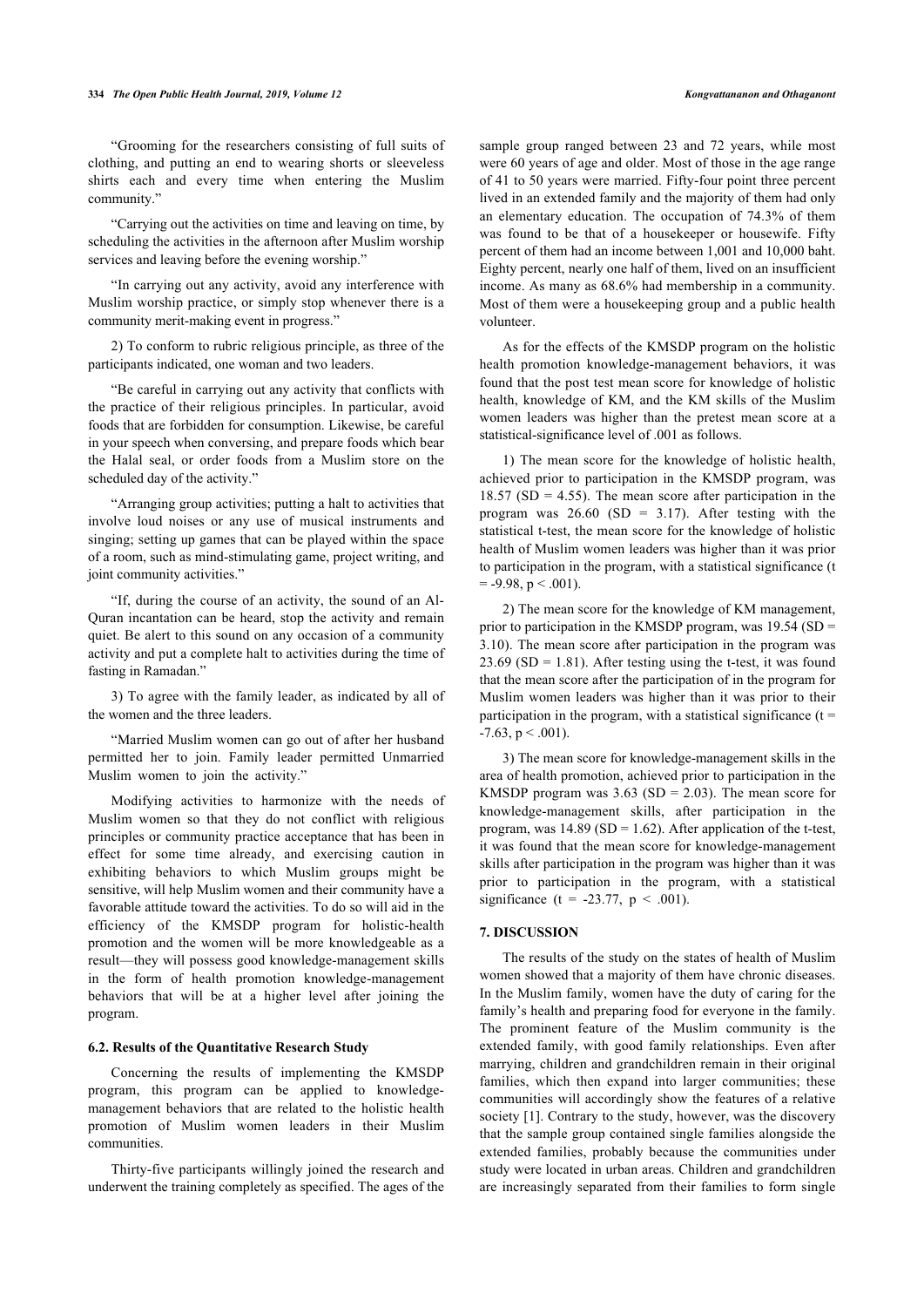#### **334** *The Open Public Health Journal, 2019, Volume 12 Kongvattananon and Othaganont*

"Grooming for the researchers consisting of full suits of clothing, and putting an end to wearing shorts or sleeveless shirts each and every time when entering the Muslim community."

"Carrying out the activities on time and leaving on time, by scheduling the activities in the afternoon after Muslim worship services and leaving before the evening worship."

"In carrying out any activity, avoid any interference with Muslim worship practice, or simply stop whenever there is a community merit-making event in progress."

2) To conform to rubric religious principle, as three of the participants indicated, one woman and two leaders.

"Be careful in carrying out any activity that conflicts with the practice of their religious principles. In particular, avoid foods that are forbidden for consumption. Likewise, be careful in your speech when conversing, and prepare foods which bear the Halal seal, or order foods from a Muslim store on the scheduled day of the activity."

"Arranging group activities; putting a halt to activities that involve loud noises or any use of musical instruments and singing; setting up games that can be played within the space of a room, such as mind-stimulating game, project writing, and joint community activities."

"If, during the course of an activity, the sound of an Al-Quran incantation can be heard, stop the activity and remain quiet. Be alert to this sound on any occasion of a community activity and put a complete halt to activities during the time of fasting in Ramadan."

3) To agree with the family leader, as indicated by all of the women and the three leaders.

"Married Muslim women can go out of after her husband permitted her to join. Family leader permitted Unmarried Muslim women to join the activity."

Modifying activities to harmonize with the needs of Muslim women so that they do not conflict with religious principles or community practice acceptance that has been in effect for some time already, and exercising caution in exhibiting behaviors to which Muslim groups might be sensitive, will help Muslim women and their community have a favorable attitude toward the activities. To do so will aid in the efficiency of the KMSDP program for holistic-health promotion and the women will be more knowledgeable as a result—they will possess good knowledge-management skills in the form of health promotion knowledge-management behaviors that will be at a higher level after joining the program.

#### **6.2. Results of the Quantitative Research Study**

Concerning the results of implementing the KMSDP program, this program can be applied to knowledgemanagement behaviors that are related to the holistic health promotion of Muslim women leaders in their Muslim communities.

Thirty-five participants willingly joined the research and underwent the training completely as specified. The ages of the

sample group ranged between 23 and 72 years, while most were 60 years of age and older. Most of those in the age range of 41 to 50 years were married. Fifty-four point three percent lived in an extended family and the majority of them had only an elementary education. The occupation of 74.3% of them was found to be that of a housekeeper or housewife. Fifty percent of them had an income between 1,001 and 10,000 baht. Eighty percent, nearly one half of them, lived on an insufficient income. As many as 68.6% had membership in a community. Most of them were a housekeeping group and a public health volunteer.

As for the effects of the KMSDP program on the holistic health promotion knowledge-management behaviors, it was found that the post test mean score for knowledge of holistic health, knowledge of KM, and the KM skills of the Muslim women leaders was higher than the pretest mean score at a statistical-significance level of .001 as follows.

1) The mean score for the knowledge of holistic health, achieved prior to participation in the KMSDP program, was  $18.57$  (SD = 4.55). The mean score after participation in the program was  $26.60$  (SD = 3.17). After testing with the statistical t-test, the mean score for the knowledge of holistic health of Muslim women leaders was higher than it was prior to participation in the program, with a statistical significance (t  $= -9.98$ ,  $p < .001$ ).

2) The mean score for the knowledge of KM management, prior to participation in the KMSDP program, was 19.54 (SD = 3.10). The mean score after participation in the program was  $23.69$  (SD = 1.81). After testing using the t-test, it was found that the mean score after the participation of in the program for Muslim women leaders was higher than it was prior to their participation in the program, with a statistical significance  $(t =$  $-7.63$ ,  $p < .001$ ).

3) The mean score for knowledge-management skills in the area of health promotion, achieved prior to participation in the KMSDP program was  $3.63$  (SD = 2.03). The mean score for knowledge-management skills, after participation in the program, was  $14.89$  (SD = 1.62). After application of the t-test, it was found that the mean score for knowledge-management skills after participation in the program was higher than it was prior to participation in the program, with a statistical significance (t = -23.77,  $p < .001$ ).

#### **7. DISCUSSION**

The results of the study on the states of health of Muslim women showed that a majority of them have chronic diseases. In the Muslim family, women have the duty of caring for the family's health and preparing food for everyone in the family. The prominent feature of the Muslim community is the extended family, with good family relationships. Even after marrying, children and grandchildren remain in their original families, which then expand into larger communities; these communities will accordingly show the features of a relative society [[1](#page-5-0)]. Contrary to the study, however, was the discovery that the sample group contained single families alongside the extended families, probably because the communities under study were located in urban areas. Children and grandchildren are increasingly separated from their families to form single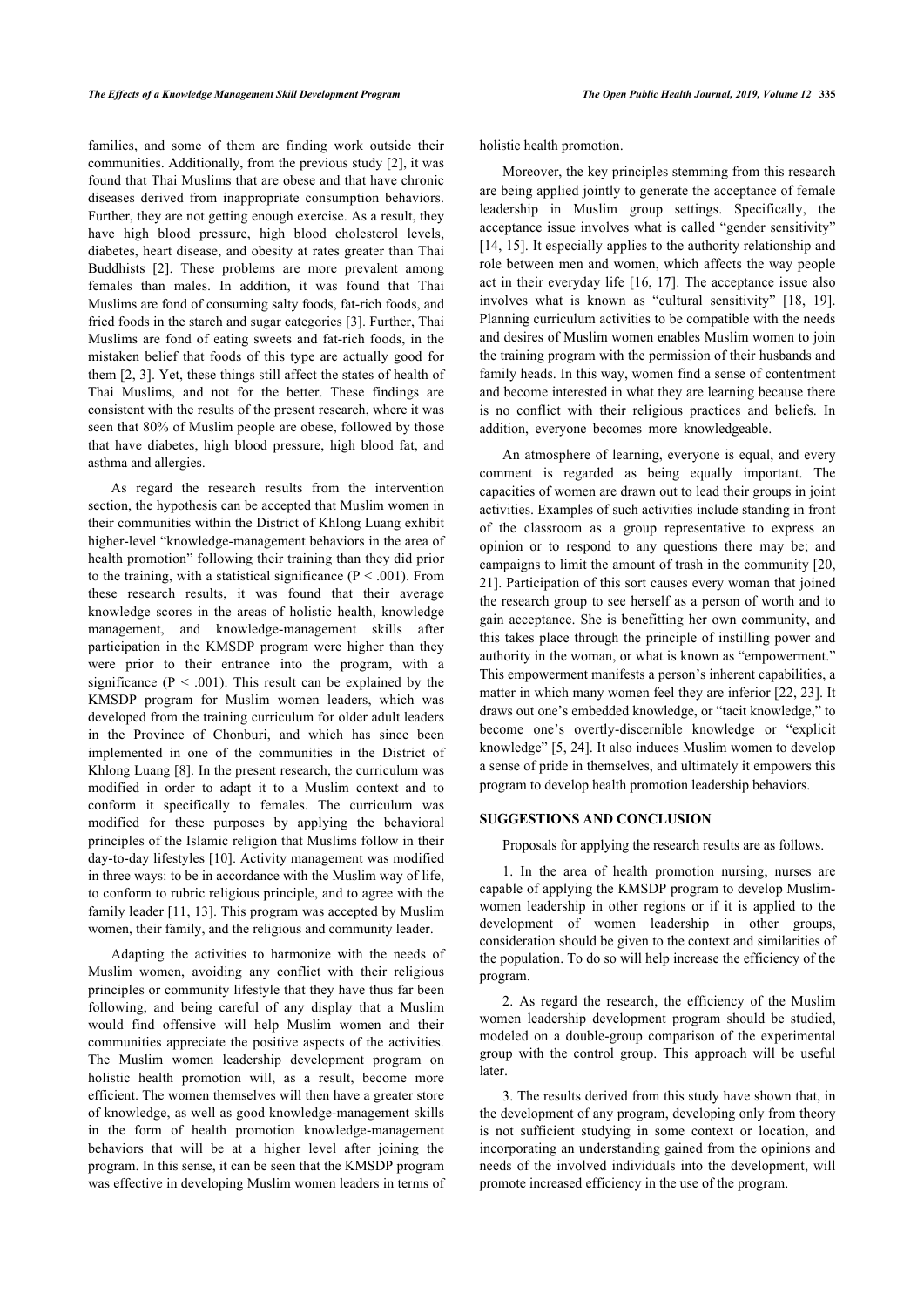families, and some of them are finding work outside their communities. Additionally, from the previous study [\[2\]](#page-5-1), it was found that Thai Muslims that are obese and that have chronic diseases derived from inappropriate consumption behaviors. Further, they are not getting enough exercise. As a result, they have high blood pressure, high blood cholesterol levels, diabetes, heart disease, and obesity at rates greater than Thai Buddhists[[2](#page-5-1)]. These problems are more prevalent among females than males. In addition, it was found that Thai Muslims are fond of consuming salty foods, fat-rich foods, and fried foods in the starch and sugar categories [[3](#page-5-2)]. Further, Thai Muslims are fond of eating sweets and fat-rich foods, in the mistaken belief that foods of this type are actually good for them [[2](#page-5-1), [3\]](#page-5-2). Yet, these things still affect the states of health of Thai Muslims, and not for the better. These findings are consistent with the results of the present research, where it was seen that 80% of Muslim people are obese, followed by those that have diabetes, high blood pressure, high blood fat, and asthma and allergies.

As regard the research results from the intervention section, the hypothesis can be accepted that Muslim women in their communities within the District of Khlong Luang exhibit higher-level "knowledge-management behaviors in the area of health promotion" following their training than they did prior to the training, with a statistical significance ( $P < .001$ ). From these research results, it was found that their average knowledge scores in the areas of holistic health, knowledge management, and knowledge-management skills after participation in the KMSDP program were higher than they were prior to their entrance into the program, with a significance ( $P < .001$ ). This result can be explained by the KMSDP program for Muslim women leaders, which was developed from the training curriculum for older adult leaders in the Province of Chonburi, and which has since been implemented in one of the communities in the District of Khlong Luang [\[8\]](#page-5-7). In the present research, the curriculum was modified in order to adapt it to a Muslim context and to conform it specifically to females. The curriculum was modified for these purposes by applying the behavioral principles of the Islamic religion that Muslims follow in their day-to-day lifestyles [[10\]](#page-5-9). Activity management was modified in three ways: to be in accordance with the Muslim way of life, to conform to rubric religious principle, and to agree with the family leader [\[11](#page-5-10), [13](#page-5-11)]. This program was accepted by Muslim women, their family, and the religious and community leader.

Adapting the activities to harmonize with the needs of Muslim women, avoiding any conflict with their religious principles or community lifestyle that they have thus far been following, and being careful of any display that a Muslim would find offensive will help Muslim women and their communities appreciate the positive aspects of the activities. The Muslim women leadership development program on holistic health promotion will, as a result, become more efficient. The women themselves will then have a greater store of knowledge, as well as good knowledge-management skills in the form of health promotion knowledge-management behaviors that will be at a higher level after joining the program. In this sense, it can be seen that the KMSDP program was effective in developing Muslim women leaders in terms of holistic health promotion.

Moreover, the key principles stemming from this research are being applied jointly to generate the acceptance of female leadership in Muslim group settings. Specifically, the acceptance issue involves what is called "gender sensitivity" [[14](#page-5-12), [15](#page-5-13)]. It especially applies to the authority relationship and role between men and women, which affects the way people act in their everyday life [[16,](#page-5-14) [17\]](#page-5-15). The acceptance issue also involves what is known as "cultural sensitivity"[[18,](#page-5-16) [19](#page-5-0)]. Planning curriculum activities to be compatible with the needs and desires of Muslim women enables Muslim women to join the training program with the permission of their husbands and family heads. In this way, women find a sense of contentment and become interested in what they are learning because there is no conflict with their religious practices and beliefs. In addition, everyone becomes more knowledgeable.

An atmosphere of learning, everyone is equal, and every comment is regarded as being equally important. The capacities of women are drawn out to lead their groups in joint activities. Examples of such activities include standing in front of the classroom as a group representative to express an opinion or to respond to any questions there may be; and campaigns to limit the amount of trash in the community [\[20](#page-5-17), [21](#page-5-18)]. Participation of this sort causes every woman that joined the research group to see herself as a person of worth and to gain acceptance. She is benefitting her own community, and this takes place through the principle of instilling power and authority in the woman, or what is known as "empowerment." This empowerment manifests a person's inherent capabilities, a matter in which many women feel they are inferior [\[22](#page-5-19), [23](#page-5-4)]. It draws out one's embedded knowledge, or "tacit knowledge," to become one's overtly-discernible knowledge or "explicit knowledge" [\[5](#page-5-4), [24\]](#page-5-6). It also induces Muslim women to develop a sense of pride in themselves, and ultimately it empowers this program to develop health promotion leadership behaviors.

#### **SUGGESTIONS AND CONCLUSION**

Proposals for applying the research results are as follows.

1. In the area of health promotion nursing, nurses are capable of applying the KMSDP program to develop Muslimwomen leadership in other regions or if it is applied to the development of women leadership in other groups, consideration should be given to the context and similarities of the population. To do so will help increase the efficiency of the program.

2. As regard the research, the efficiency of the Muslim women leadership development program should be studied, modeled on a double-group comparison of the experimental group with the control group. This approach will be useful later.

3. The results derived from this study have shown that, in the development of any program, developing only from theory is not sufficient studying in some context or location, and incorporating an understanding gained from the opinions and needs of the involved individuals into the development, will promote increased efficiency in the use of the program.